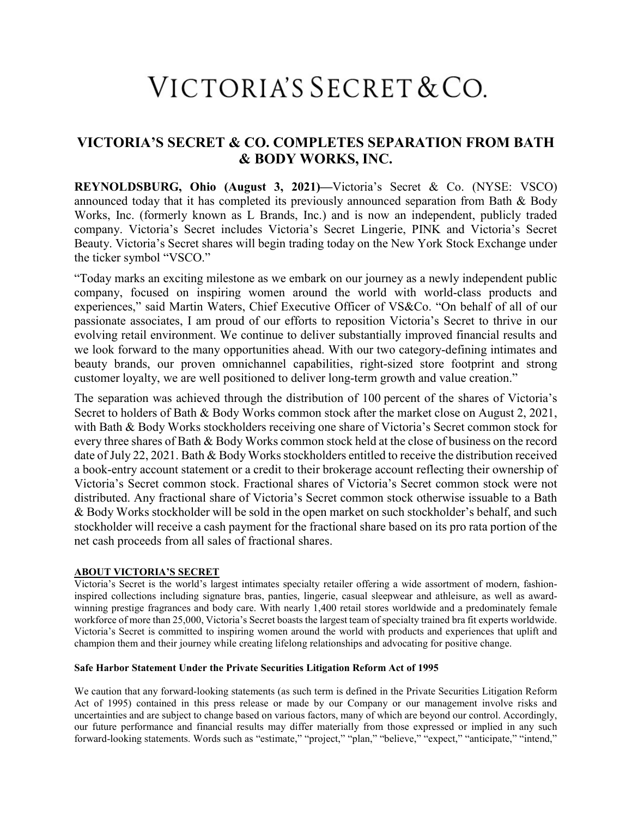## VICTORIA'S SECRET & CO.

## **VICTORIA'S SECRET & CO. COMPLETES SEPARATION FROM BATH & BODY WORKS, INC.**

**REYNOLDSBURG, Ohio (August 3, 2021)—**Victoria's Secret & Co. (NYSE: VSCO) announced today that it has completed its previously announced separation from Bath & Body Works, Inc. (formerly known as L Brands, Inc.) and is now an independent, publicly traded company. Victoria's Secret includes Victoria's Secret Lingerie, PINK and Victoria's Secret Beauty. Victoria's Secret shares will begin trading today on the New York Stock Exchange under the ticker symbol "VSCO."

"Today marks an exciting milestone as we embark on our journey as a newly independent public company, focused on inspiring women around the world with world-class products and experiences," said Martin Waters, Chief Executive Officer of VS&Co. "On behalf of all of our passionate associates, I am proud of our efforts to reposition Victoria's Secret to thrive in our evolving retail environment. We continue to deliver substantially improved financial results and we look forward to the many opportunities ahead. With our two category-defining intimates and beauty brands, our proven omnichannel capabilities, right-sized store footprint and strong customer loyalty, we are well positioned to deliver long-term growth and value creation."

The separation was achieved through the distribution of 100 percent of the shares of Victoria's Secret to holders of Bath & Body Works common stock after the market close on August 2, 2021, with Bath & Body Works stockholders receiving one share of Victoria's Secret common stock for every three shares of Bath & Body Works common stock held at the close of business on the record date of July 22, 2021. Bath & Body Works stockholders entitled to receive the distribution received a book-entry account statement or a credit to their brokerage account reflecting their ownership of Victoria's Secret common stock. Fractional shares of Victoria's Secret common stock were not distributed. Any fractional share of Victoria's Secret common stock otherwise issuable to a Bath & Body Works stockholder will be sold in the open market on such stockholder's behalf, and such stockholder will receive a cash payment for the fractional share based on its pro rata portion of the net cash proceeds from all sales of fractional shares.

## **ABOUT VICTORIA'S SECRET**

Victoria's Secret is the world's largest intimates specialty retailer offering a wide assortment of modern, fashioninspired collections including signature bras, panties, lingerie, casual sleepwear and athleisure, as well as awardwinning prestige fragrances and body care. With nearly 1,400 retail stores worldwide and a predominately female workforce of more than 25,000, Victoria's Secret boasts the largest team of specialty trained bra fit experts worldwide. Victoria's Secret is committed to inspiring women around the world with products and experiences that uplift and champion them and their journey while creating lifelong relationships and advocating for positive change.

## **Safe Harbor Statement Under the Private Securities Litigation Reform Act of 1995**

We caution that any forward-looking statements (as such term is defined in the Private Securities Litigation Reform Act of 1995) contained in this press release or made by our Company or our management involve risks and uncertainties and are subject to change based on various factors, many of which are beyond our control. Accordingly, our future performance and financial results may differ materially from those expressed or implied in any such forward-looking statements. Words such as "estimate," "project," "plan," "believe," "expect," "anticipate," "intend,"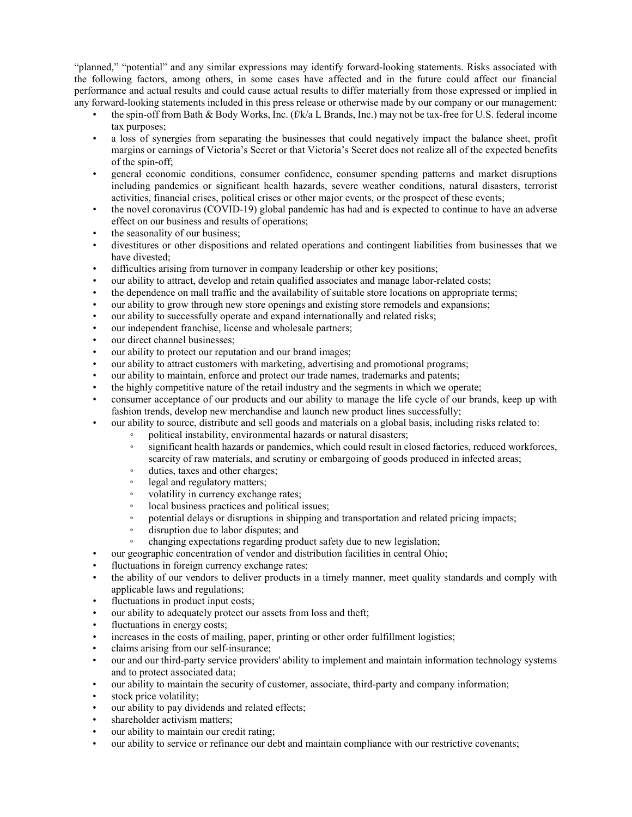"planned," "potential" and any similar expressions may identify forward-looking statements. Risks associated with the following factors, among others, in some cases have affected and in the future could affect our financial performance and actual results and could cause actual results to differ materially from those expressed or implied in any forward-looking statements included in this press release or otherwise made by our company or our management:

- the spin-off from Bath & Body Works, Inc. (f/k/a L Brands, Inc.) may not be tax-free for U.S. federal income tax purposes;
- a loss of synergies from separating the businesses that could negatively impact the balance sheet, profit margins or earnings of Victoria's Secret or that Victoria's Secret does not realize all of the expected benefits of the spin-off;
- general economic conditions, consumer confidence, consumer spending patterns and market disruptions including pandemics or significant health hazards, severe weather conditions, natural disasters, terrorist activities, financial crises, political crises or other major events, or the prospect of these events;
- the novel coronavirus (COVID-19) global pandemic has had and is expected to continue to have an adverse effect on our business and results of operations;
- the seasonality of our business;
- divestitures or other dispositions and related operations and contingent liabilities from businesses that we have divested;
- difficulties arising from turnover in company leadership or other key positions;
- our ability to attract, develop and retain qualified associates and manage labor-related costs;
- the dependence on mall traffic and the availability of suitable store locations on appropriate terms;
- our ability to grow through new store openings and existing store remodels and expansions;
- our ability to successfully operate and expand internationally and related risks;
- our independent franchise, license and wholesale partners;
- our direct channel businesses;
- our ability to protect our reputation and our brand images;
- our ability to attract customers with marketing, advertising and promotional programs;
- our ability to maintain, enforce and protect our trade names, trademarks and patents;
- the highly competitive nature of the retail industry and the segments in which we operate;
- consumer acceptance of our products and our ability to manage the life cycle of our brands, keep up with fashion trends, develop new merchandise and launch new product lines successfully;
- our ability to source, distribute and sell goods and materials on a global basis, including risks related to:
	- political instability, environmental hazards or natural disasters;
		- significant health hazards or pandemics, which could result in closed factories, reduced workforces, scarcity of raw materials, and scrutiny or embargoing of goods produced in infected areas;
		- duties, taxes and other charges;
		- legal and regulatory matters;
		- volatility in currency exchange rates;
		- local business practices and political issues;
		- potential delays or disruptions in shipping and transportation and related pricing impacts;
		- disruption due to labor disputes; and
	- changing expectations regarding product safety due to new legislation;
- our geographic concentration of vendor and distribution facilities in central Ohio;
- fluctuations in foreign currency exchange rates;
- the ability of our vendors to deliver products in a timely manner, meet quality standards and comply with applicable laws and regulations;
- fluctuations in product input costs;
- our ability to adequately protect our assets from loss and theft;
- fluctuations in energy costs;
- increases in the costs of mailing, paper, printing or other order fulfillment logistics;
- claims arising from our self-insurance;
- our and our third-party service providers' ability to implement and maintain information technology systems and to protect associated data;
- our ability to maintain the security of customer, associate, third-party and company information;
- stock price volatility;
- our ability to pay dividends and related effects;
- shareholder activism matters;
- our ability to maintain our credit rating;
- our ability to service or refinance our debt and maintain compliance with our restrictive covenants;